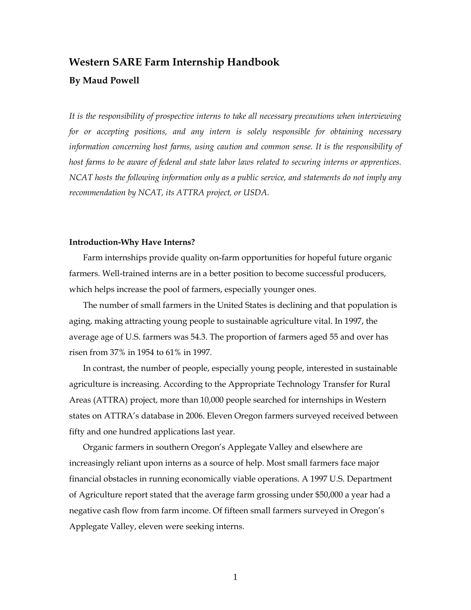# **Western SARE Farm Internship Handbook**

### **By Maud Powell**

*It is the responsibility of prospective interns to take all necessary precautions when interviewing for or accepting positions, and any intern is solely responsible for obtaining necessary information concerning host farms, using caution and common sense. It is the responsibility of host farms to be aware of federal and state labor laws related to securing interns or apprentices. NCAT hosts the following information only as a public service, and statements do not imply any recommendation by NCAT, its ATTRA project, or USDA.* 

### **Introduction-Why Have Interns?**

Farm internships provide quality on-farm opportunities for hopeful future organic farmers. Well-trained interns are in a better position to become successful producers, which helps increase the pool of farmers, especially younger ones.

The number of small farmers in the United States is declining and that population is aging, making attracting young people to sustainable agriculture vital. In 1997, the average age of U.S. farmers was 54.3. The proportion of farmers aged 55 and over has risen from 37% in 1954 to 61% in 1997.

In contrast, the number of people, especially young people, interested in sustainable agriculture is increasing. According to the Appropriate Technology Transfer for Rural Areas (ATTRA) project, more than 10,000 people searched for internships in Western states on ATTRA's database in 2006. Eleven Oregon farmers surveyed received between fifty and one hundred applications last year.

Organic farmers in southern Oregon's Applegate Valley and elsewhere are increasingly reliant upon interns as a source of help. Most small farmers face major financial obstacles in running economically viable operations. A 1997 U.S. Department of Agriculture report stated that the average farm grossing under \$50,000 a year had a negative cash flow from farm income. Of fifteen small farmers surveyed in Oregon's Applegate Valley, eleven were seeking interns.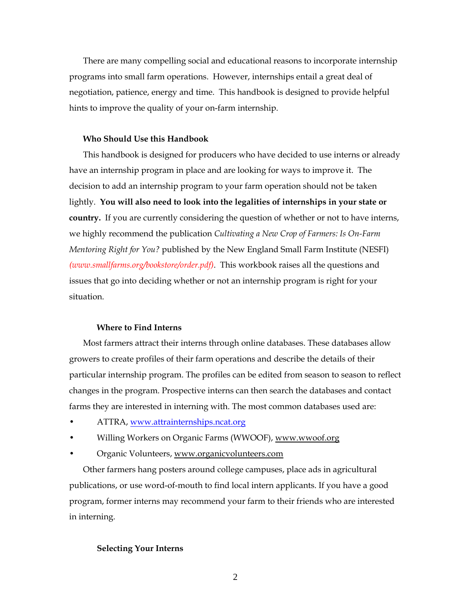There are many compelling social and educational reasons to incorporate internship programs into small farm operations. However, internships entail a great deal of negotiation, patience, energy and time. This handbook is designed to provide helpful hints to improve the quality of your on-farm internship.

### **Who Should Use this Handbook**

This handbook is designed for producers who have decided to use interns or already have an internship program in place and are looking for ways to improve it. The decision to add an internship program to your farm operation should not be taken lightly. **You will also need to look into the legalities of internships in your state or country.** If you are currently considering the question of whether or not to have interns, we highly recommend the publication *Cultivating a New Crop of Farmers: Is On-Farm Mentoring Right for You?* published by the New England Small Farm Institute (NESFI) *(www.smallfarms.org/bookstore/order.pdf)*. This workbook raises all the questions and issues that go into deciding whether or not an internship program is right for your situation.

#### **Where to Find Interns**

Most farmers attract their interns through online databases. These databases allow growers to create profiles of their farm operations and describe the details of their particular internship program. The profiles can be edited from season to season to reflect changes in the program. Prospective interns can then search the databases and contact farms they are interested in interning with. The most common databases used are:

- ATTRA, [www.attrainternships.ncat.org](http://www.attrainternships.ncat.org)
- Willing Workers on Organic Farms (WWOOF), www.wwoof.org
- Organic Volunteers, www.organicvolunteers.com

Other farmers hang posters around college campuses, place ads in agricultural publications, or use word-of-mouth to find local intern applicants. If you have a good program, former interns may recommend your farm to their friends who are interested in interning.

### **Selecting Your Interns**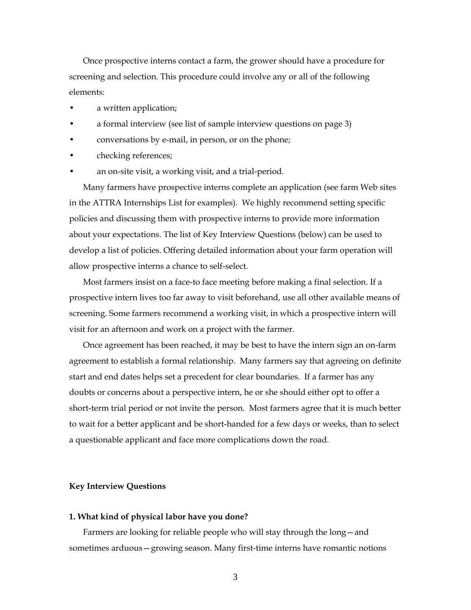Once prospective interns contact a farm, the grower should have a procedure for screening and selection. This procedure could involve any or all of the following elements:

- a written application;
- a formal interview (see list of sample interview questions on page 3)
- conversations by e-mail, in person, or on the phone;
- checking references;
- an on-site visit, a working visit, and a trial-period.

Many farmers have prospective interns complete an application (see farm Web sites in the ATTRA Internships List for examples). We highly recommend setting specific policies and discussing them with prospective interns to provide more information about your expectations. The list of Key Interview Questions (below) can be used to develop a list of policies. Offering detailed information about your farm operation will allow prospective interns a chance to self-select.

Most farmers insist on a face-to face meeting before making a final selection. If a prospective intern lives too far away to visit beforehand, use all other available means of screening. Some farmers recommend a working visit, in which a prospective intern will visit for an afternoon and work on a project with the farmer.

Once agreement has been reached, it may be best to have the intern sign an on-farm agreement to establish a formal relationship. Many farmers say that agreeing on definite start and end dates helps set a precedent for clear boundaries. If a farmer has any doubts or concerns about a perspective intern, he or she should either opt to offer a short-term trial period or not invite the person. Most farmers agree that it is much better to wait for a better applicant and be short-handed for a few days or weeks, than to select a questionable applicant and face more complications down the road.

#### **Key Interview Questions**

#### **1. What kind of physical labor have you done?**

Farmers are looking for reliable people who will stay through the long—and sometimes arduous—growing season. Many first-time interns have romantic notions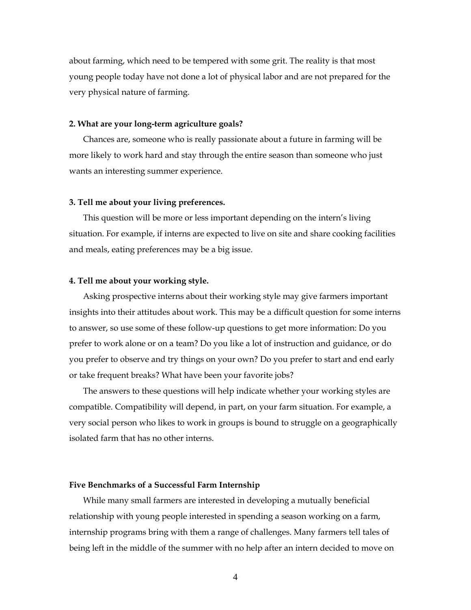about farming, which need to be tempered with some grit. The reality is that most young people today have not done a lot of physical labor and are not prepared for the very physical nature of farming.

### **2. What are your long-term agriculture goals?**

Chances are, someone who is really passionate about a future in farming will be more likely to work hard and stay through the entire season than someone who just wants an interesting summer experience.

### **3. Tell me about your living preferences.**

This question will be more or less important depending on the intern's living situation. For example, if interns are expected to live on site and share cooking facilities and meals, eating preferences may be a big issue.

### **4. Tell me about your working style.**

Asking prospective interns about their working style may give farmers important insights into their attitudes about work. This may be a difficult question for some interns to answer, so use some of these follow-up questions to get more information: Do you prefer to work alone or on a team? Do you like a lot of instruction and guidance, or do you prefer to observe and try things on your own? Do you prefer to start and end early or take frequent breaks? What have been your favorite jobs?

The answers to these questions will help indicate whether your working styles are compatible. Compatibility will depend, in part, on your farm situation. For example, a very social person who likes to work in groups is bound to struggle on a geographically isolated farm that has no other interns.

### **Five Benchmarks of a Successful Farm Internship**

While many small farmers are interested in developing a mutually beneficial relationship with young people interested in spending a season working on a farm, internship programs bring with them a range of challenges. Many farmers tell tales of being left in the middle of the summer with no help after an intern decided to move on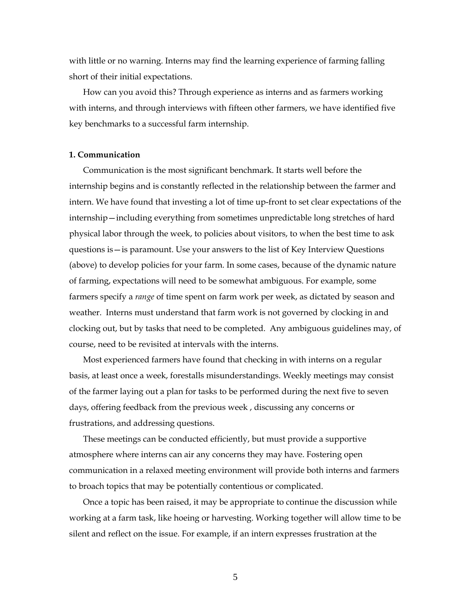with little or no warning. Interns may find the learning experience of farming falling short of their initial expectations.

How can you avoid this? Through experience as interns and as farmers working with interns, and through interviews with fifteen other farmers, we have identified five key benchmarks to a successful farm internship.

### **1. Communication**

Communication is the most significant benchmark. It starts well before the internship begins and is constantly reflected in the relationship between the farmer and intern. We have found that investing a lot of time up-front to set clear expectations of the internship—including everything from sometimes unpredictable long stretches of hard physical labor through the week, to policies about visitors, to when the best time to ask questions is—is paramount. Use your answers to the list of Key Interview Questions (above) to develop policies for your farm. In some cases, because of the dynamic nature of farming, expectations will need to be somewhat ambiguous. For example, some farmers specify a *range* of time spent on farm work per week, as dictated by season and weather. Interns must understand that farm work is not governed by clocking in and clocking out, but by tasks that need to be completed. Any ambiguous guidelines may, of course, need to be revisited at intervals with the interns.

Most experienced farmers have found that checking in with interns on a regular basis, at least once a week, forestalls misunderstandings. Weekly meetings may consist of the farmer laying out a plan for tasks to be performed during the next five to seven days, offering feedback from the previous week , discussing any concerns or frustrations, and addressing questions.

These meetings can be conducted efficiently, but must provide a supportive atmosphere where interns can air any concerns they may have. Fostering open communication in a relaxed meeting environment will provide both interns and farmers to broach topics that may be potentially contentious or complicated.

Once a topic has been raised, it may be appropriate to continue the discussion while working at a farm task, like hoeing or harvesting. Working together will allow time to be silent and reflect on the issue. For example, if an intern expresses frustration at the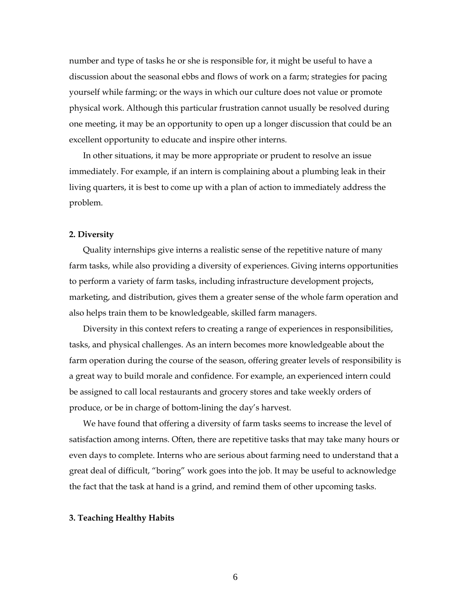number and type of tasks he or she is responsible for, it might be useful to have a discussion about the seasonal ebbs and flows of work on a farm; strategies for pacing yourself while farming; or the ways in which our culture does not value or promote physical work. Although this particular frustration cannot usually be resolved during one meeting, it may be an opportunity to open up a longer discussion that could be an excellent opportunity to educate and inspire other interns.

In other situations, it may be more appropriate or prudent to resolve an issue immediately. For example, if an intern is complaining about a plumbing leak in their living quarters, it is best to come up with a plan of action to immediately address the problem.

### **2. Diversity**

Quality internships give interns a realistic sense of the repetitive nature of many farm tasks, while also providing a diversity of experiences. Giving interns opportunities to perform a variety of farm tasks, including infrastructure development projects, marketing, and distribution, gives them a greater sense of the whole farm operation and also helps train them to be knowledgeable, skilled farm managers.

Diversity in this context refers to creating a range of experiences in responsibilities, tasks, and physical challenges. As an intern becomes more knowledgeable about the farm operation during the course of the season, offering greater levels of responsibility is a great way to build morale and confidence. For example, an experienced intern could be assigned to call local restaurants and grocery stores and take weekly orders of produce, or be in charge of bottom-lining the day's harvest.

We have found that offering a diversity of farm tasks seems to increase the level of satisfaction among interns. Often, there are repetitive tasks that may take many hours or even days to complete. Interns who are serious about farming need to understand that a great deal of difficult, "boring" work goes into the job. It may be useful to acknowledge the fact that the task at hand is a grind, and remind them of other upcoming tasks.

#### **3. Teaching Healthy Habits**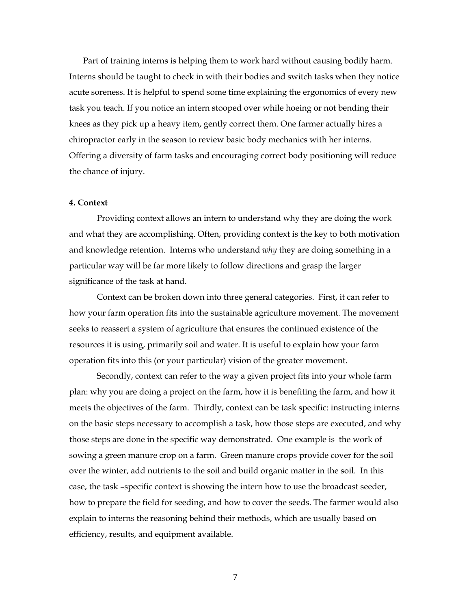Part of training interns is helping them to work hard without causing bodily harm. Interns should be taught to check in with their bodies and switch tasks when they notice acute soreness. It is helpful to spend some time explaining the ergonomics of every new task you teach. If you notice an intern stooped over while hoeing or not bending their knees as they pick up a heavy item, gently correct them. One farmer actually hires a chiropractor early in the season to review basic body mechanics with her interns. Offering a diversity of farm tasks and encouraging correct body positioning will reduce the chance of injury.

## **4. Context**

Providing context allows an intern to understand why they are doing the work and what they are accomplishing. Often, providing context is the key to both motivation and knowledge retention. Interns who understand *why* they are doing something in a particular way will be far more likely to follow directions and grasp the larger significance of the task at hand.

Context can be broken down into three general categories. First, it can refer to how your farm operation fits into the sustainable agriculture movement. The movement seeks to reassert a system of agriculture that ensures the continued existence of the resources it is using, primarily soil and water. It is useful to explain how your farm operation fits into this (or your particular) vision of the greater movement.

Secondly, context can refer to the way a given project fits into your whole farm plan: why you are doing a project on the farm, how it is benefiting the farm, and how it meets the objectives of the farm. Thirdly, context can be task specific: instructing interns on the basic steps necessary to accomplish a task, how those steps are executed, and why those steps are done in the specific way demonstrated. One example is the work of sowing a green manure crop on a farm. Green manure crops provide cover for the soil over the winter, add nutrients to the soil and build organic matter in the soil. In this case, the task –specific context is showing the intern how to use the broadcast seeder, how to prepare the field for seeding, and how to cover the seeds. The farmer would also explain to interns the reasoning behind their methods, which are usually based on efficiency, results, and equipment available.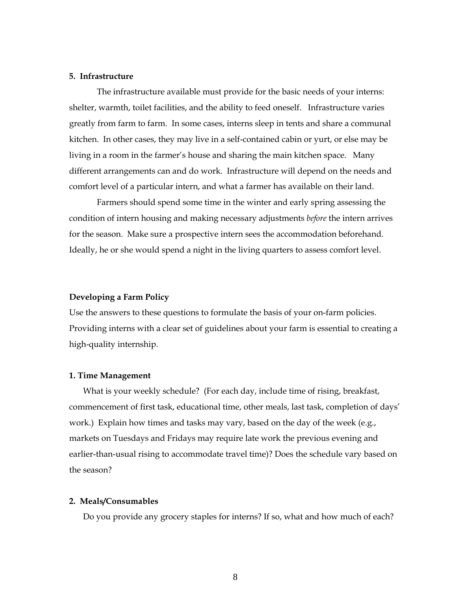### **5. Infrastructure**

The infrastructure available must provide for the basic needs of your interns: shelter, warmth, toilet facilities, and the ability to feed oneself. Infrastructure varies greatly from farm to farm. In some cases, interns sleep in tents and share a communal kitchen. In other cases, they may live in a self-contained cabin or yurt, or else may be living in a room in the farmer's house and sharing the main kitchen space. Many different arrangements can and do work. Infrastructure will depend on the needs and comfort level of a particular intern, and what a farmer has available on their land.

Farmers should spend some time in the winter and early spring assessing the condition of intern housing and making necessary adjustments *before* the intern arrives for the season. Make sure a prospective intern sees the accommodation beforehand. Ideally, he or she would spend a night in the living quarters to assess comfort level.

### **Developing a Farm Policy**

Use the answers to these questions to formulate the basis of your on-farm policies. Providing interns with a clear set of guidelines about your farm is essential to creating a high-quality internship.

#### **1. Time Management**

What is your weekly schedule? (For each day, include time of rising, breakfast, commencement of first task, educational time, other meals, last task, completion of days' work.) Explain how times and tasks may vary, based on the day of the week (e.g., markets on Tuesdays and Fridays may require late work the previous evening and earlier-than-usual rising to accommodate travel time)? Does the schedule vary based on the season?

#### **2. Meals/Consumables**

Do you provide any grocery staples for interns? If so, what and how much of each?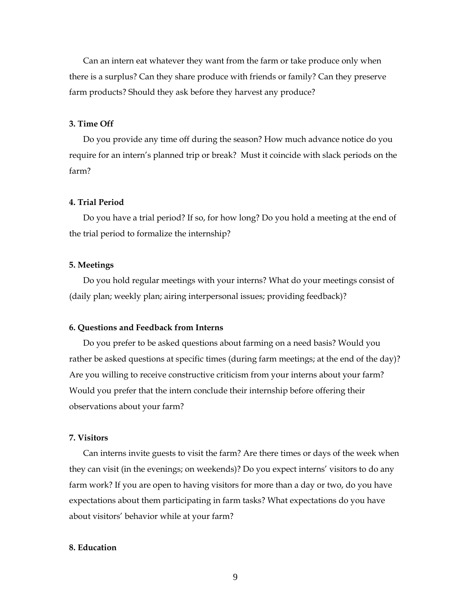Can an intern eat whatever they want from the farm or take produce only when there is a surplus? Can they share produce with friends or family? Can they preserve farm products? Should they ask before they harvest any produce?

### **3. Time Off**

Do you provide any time off during the season? How much advance notice do you require for an intern's planned trip or break? Must it coincide with slack periods on the farm?

### **4. Trial Period**

Do you have a trial period? If so, for how long? Do you hold a meeting at the end of the trial period to formalize the internship?

### **5. Meetings**

Do you hold regular meetings with your interns? What do your meetings consist of (daily plan; weekly plan; airing interpersonal issues; providing feedback)?

#### **6. Questions and Feedback from Interns**

Do you prefer to be asked questions about farming on a need basis? Would you rather be asked questions at specific times (during farm meetings; at the end of the day)? Are you willing to receive constructive criticism from your interns about your farm? Would you prefer that the intern conclude their internship before offering their observations about your farm?

### **7. Visitors**

Can interns invite guests to visit the farm? Are there times or days of the week when they can visit (in the evenings; on weekends)? Do you expect interns' visitors to do any farm work? If you are open to having visitors for more than a day or two, do you have expectations about them participating in farm tasks? What expectations do you have about visitors' behavior while at your farm?

### **8. Education**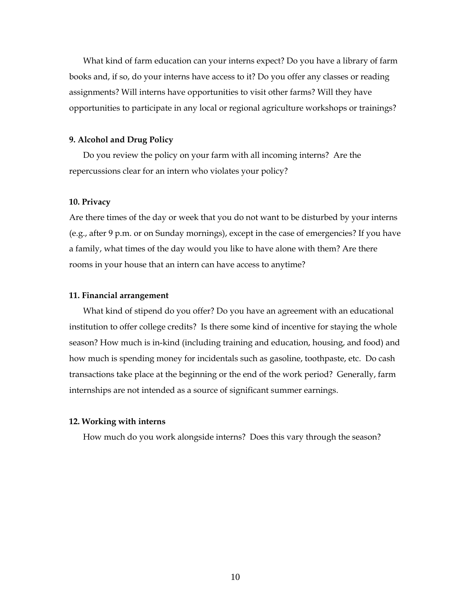What kind of farm education can your interns expect? Do you have a library of farm books and, if so, do your interns have access to it? Do you offer any classes or reading assignments? Will interns have opportunities to visit other farms? Will they have opportunities to participate in any local or regional agriculture workshops or trainings?

### **9. Alcohol and Drug Policy**

Do you review the policy on your farm with all incoming interns? Are the repercussions clear for an intern who violates your policy?

### **10. Privacy**

Are there times of the day or week that you do not want to be disturbed by your interns (e.g., after 9 p.m. or on Sunday mornings), except in the case of emergencies? If you have a family, what times of the day would you like to have alone with them? Are there rooms in your house that an intern can have access to anytime?

### **11. Financial arrangement**

What kind of stipend do you offer? Do you have an agreement with an educational institution to offer college credits? Is there some kind of incentive for staying the whole season? How much is in-kind (including training and education, housing, and food) and how much is spending money for incidentals such as gasoline, toothpaste, etc. Do cash transactions take place at the beginning or the end of the work period? Generally, farm internships are not intended as a source of significant summer earnings.

### **12. Working with interns**

How much do you work alongside interns? Does this vary through the season?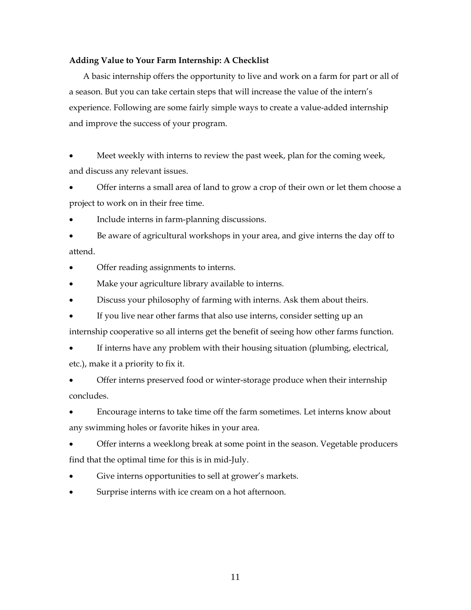### **Adding Value to Your Farm Internship: A Checklist**

A basic internship offers the opportunity to live and work on a farm for part or all of a season. But you can take certain steps that will increase the value of the intern's experience. Following are some fairly simple ways to create a value-added internship and improve the success of your program.

• Meet weekly with interns to review the past week, plan for the coming week, and discuss any relevant issues.

• Offer interns a small area of land to grow a crop of their own or let them choose a project to work on in their free time.

• Include interns in farm-planning discussions.

• Be aware of agricultural workshops in your area, and give interns the day off to attend.

• Offer reading assignments to interns.

• Make your agriculture library available to interns.

- Discuss your philosophy of farming with interns. Ask them about theirs.
- If you live near other farms that also use interns, consider setting up an

internship cooperative so all interns get the benefit of seeing how other farms function.

If interns have any problem with their housing situation (plumbing, electrical, etc.), make it a priority to fix it.

• Offer interns preserved food or winter-storage produce when their internship concludes.

• Encourage interns to take time off the farm sometimes. Let interns know about any swimming holes or favorite hikes in your area.

• Offer interns a weeklong break at some point in the season. Vegetable producers find that the optimal time for this is in mid-July.

- Give interns opportunities to sell at grower's markets.
- Surprise interns with ice cream on a hot afternoon.